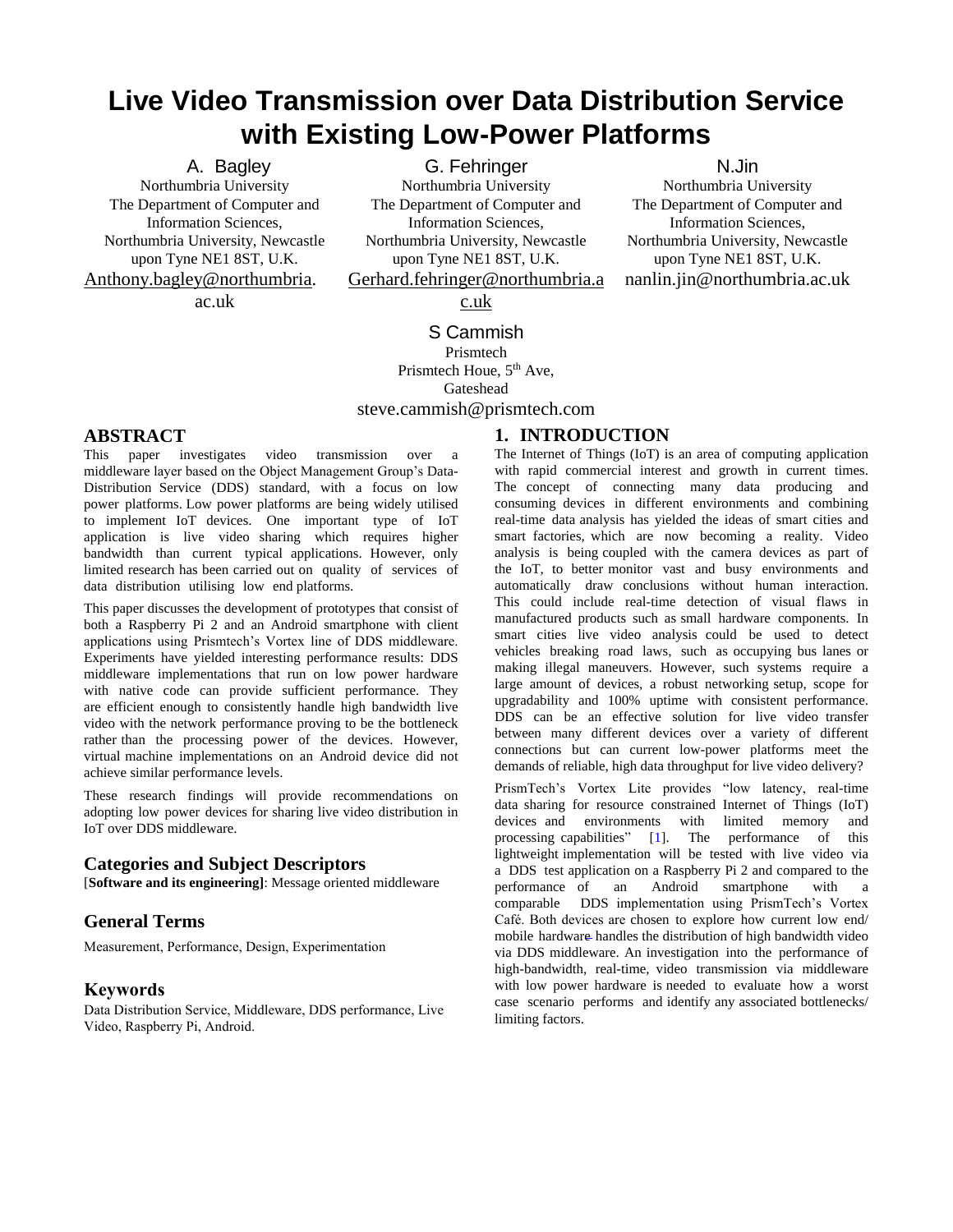# **Live Video Transmission over Data Distribution Service with Existing Low-Power Platforms**

A. Bagley Northumbria University The Department of Computer and Information Sciences, Northumbria University, Newcastle upon Tyne NE1 8ST, U.K. [Anthony.bagley@northumbria.](mailto:Anthony.bagley@northumbria) ac.uk

G. Fehringer Northumbria University The Department of Computer and Information Sciences, Northumbria University, Newcastle upon Tyne NE1 8ST, U.K. [Gerhard.fehringer@northumbria.a](mailto:Gerhard.fehringer@northumbria.ac.uk)

N.Jin Northumbria University The Department of Computer and Information Sciences, Northumbria University, Newcastle upon Tyne NE1 8ST, U.K. nanlin.jin@northumbria.ac.uk

[c.uk](mailto:Gerhard.fehringer@northumbria.ac.uk)

S Cammish Prismtech Prismtech Houe, 5<sup>th</sup> Ave, Gateshead steve.cammish@prismtech.com

# **ABSTRACT**

This paper investigates video transmission over a middleware layer based on the Object Management Group's Data-Distribution Service (DDS) standard, with a focus on low power platforms. Low power platforms are being widely utilised to implement IoT devices. One important type of IoT application is live video sharing which requires higher bandwidth than current typical applications. However, only limited research has been carried out on quality of services of data distribution utilising low end platforms.

This paper discusses the development of prototypes that consist of both a Raspberry Pi 2 and an Android smartphone with client applications using Prismtech's Vortex line of DDS middleware. Experiments have yielded interesting performance results: DDS middleware implementations that run on low power hardware with native code can provide sufficient performance. They are efficient enough to consistently handle high bandwidth live video with the network performance proving to be the bottleneck rather than the processing power of the devices. However, virtual machine implementations on an Android device did not achieve similar performance levels.

These research findings will provide recommendations on adopting low power devices for sharing live video distribution in IoT over DDS middleware.

# **Categories and Subject Descriptors**

[**Software and its engineering]**: Message oriented middleware

# **General Terms**

Measurement, Performance, Design, Experimentation

# **Keywords**

Data Distribution Service, Middleware, DDS performance, Live Video, Raspberry Pi, Android.

**1. INTRODUCTION** The Internet of Things (IoT) is an area of computing application with rapid commercial interest and growth in current times. The concept of connecting many data producing and consuming devices in different environments and combining real-time data analysis has yielded the ideas of smart cities and smart factories, which are now becoming a reality. Video analysis is being coupled with the camera devices as part of the IoT, to better monitor vast and busy environments and automatically draw conclusions without human interaction. This could include real-time detection of visual flaws in manufactured products such as small hardware components. In smart cities live video analysis could be used to detect vehicles breaking road laws, such as occupying bus lanes or making illegal maneuvers. However, such systems require a large amount of devices, a robust networking setup, scope for upgradability and 100% uptime with consistent performance. DDS can be an effective solution for live video transfer between many different devices over a variety of different connections but can current low-power platforms meet the demands of reliable, high data throughput for live video delivery?

PrismTech's Vortex Lite provides "low latency, real-time data sharing for resource constrained Internet of Things (IoT) devices and environments with limited memory and processing capabilities" [1]. The performance of this lightweight implementation will be tested with live video via a DDS test application on a Raspberry Pi 2 and compared to the performance of an Android smartphone with a comparable DDS implementation using PrismTech's Vortex Café. Both devices are chosen to explore how current low end/ mobile hardware handles the distribution of high bandwidth video via DDS middleware. An investigation into the performance of high-bandwidth, real-time, video transmission via middleware with low power hardware is needed to evaluate how a worst case scenario performs and identify any associated bottlenecks/ limiting factors.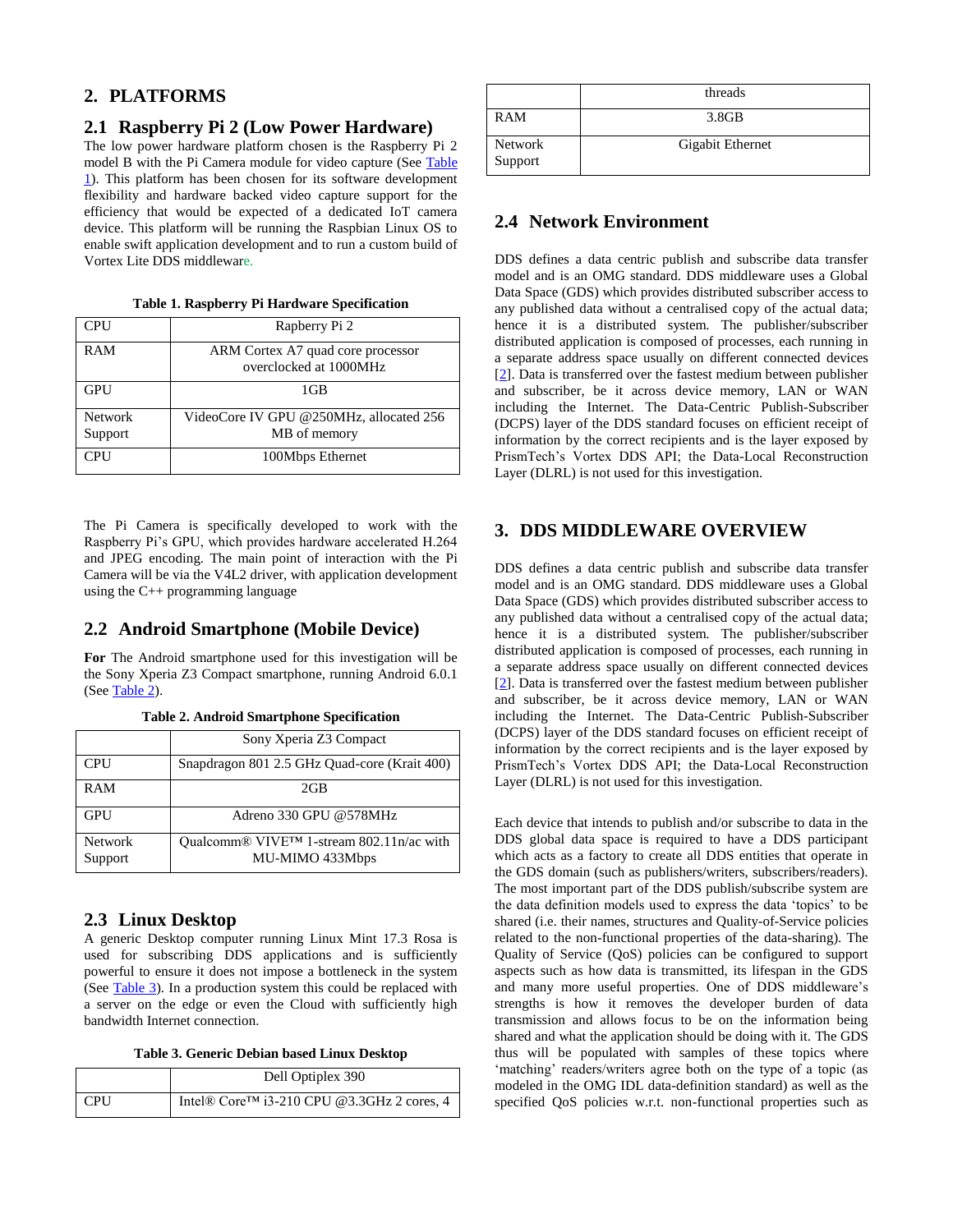# **2. PLATFORMS**

## **2.1 Raspberry Pi 2 (Low Power Hardware)**

The low power hardware platform chosen is the Raspberry Pi 2 model B with the Pi Camera module for video capture (See Table 1). This platform has been chosen for its software development flexibility and hardware backed video capture support for the efficiency that would be expected of a dedicated IoT camera device. This platform will be running the Raspbian Linux OS to enable swift application development and to run a custom build of Vortex Lite DDS middleware.

**Table 1. Raspberry Pi Hardware Specification**

| <b>CPU</b>                | Rapberry Pi 2                                               |  |  |  |  |
|---------------------------|-------------------------------------------------------------|--|--|--|--|
| RAM                       | ARM Cortex A7 quad core processor<br>overclocked at 1000MHz |  |  |  |  |
| <b>GPU</b>                | 1GB                                                         |  |  |  |  |
| <b>Network</b><br>Support | VideoCore IV GPU @250MHz, allocated 256<br>MB of memory     |  |  |  |  |
| <b>CPU</b>                | 100Mbps Ethernet                                            |  |  |  |  |

The Pi Camera is specifically developed to work with the Raspberry Pi's GPU, which provides hardware accelerated H.264 and JPEG encoding. The main point of interaction with the Pi Camera will be via the V4L2 driver, with application development using the C++ programming language

# **2.2 Android Smartphone (Mobile Device)**

**For** The Android smartphone used for this investigation will be the Sony Xperia Z3 Compact smartphone, running Android 6.0.1 (See Table 2).

**Table 2. Android Smartphone Specification**

|                           | Sony Xperia Z3 Compact                                      |  |  |  |  |
|---------------------------|-------------------------------------------------------------|--|--|--|--|
| <b>CPU</b>                | Snapdragon 801 2.5 GHz Quad-core (Krait 400)                |  |  |  |  |
| <b>RAM</b>                | 2GB                                                         |  |  |  |  |
| <b>GPU</b>                | Adreno 330 GPU @578MHz                                      |  |  |  |  |
| <b>Network</b><br>Support | Qualcomm® VIVE™ 1-stream 802.11n/ac with<br>MU-MIMO 433Mbps |  |  |  |  |

# **2.3 Linux Desktop**

A generic Desktop computer running Linux Mint 17.3 Rosa is used for subscribing DDS applications and is sufficiently powerful to ensure it does not impose a bottleneck in the system (See Table 3). In a production system this could be replaced with a server on the edge or even the Cloud with sufficiently high bandwidth Internet connection.

**Table 3. Generic Debian based Linux Desktop** 

|            | Dell Optiplex 390                                       |  |  |  |
|------------|---------------------------------------------------------|--|--|--|
| <b>CPU</b> | Intel® Core <sup>TM</sup> i3-210 CPU @3.3GHz 2 cores, 4 |  |  |  |

|                           | threads          |
|---------------------------|------------------|
| RAM                       | 3.8GB            |
| <b>Network</b><br>Support | Gigabit Ethernet |

# **2.4 Network Environment**

DDS defines a data centric publish and subscribe data transfer model and is an OMG standard. DDS middleware uses a Global Data Space (GDS) which provides distributed subscriber access to any published data without a centralised copy of the actual data; hence it is a distributed system. The publisher/subscriber distributed application is composed of processes, each running in a separate address space usually on different connected devices [2]. Data is transferred over the fastest medium between publisher and subscriber, be it across device memory, LAN or WAN including the Internet. The Data-Centric Publish-Subscriber (DCPS) layer of the DDS standard focuses on efficient receipt of information by the correct recipients and is the layer exposed by PrismTech's Vortex DDS API; the Data-Local Reconstruction Layer (DLRL) is not used for this investigation.

# **3. DDS MIDDLEWARE OVERVIEW**

DDS defines a data centric publish and subscribe data transfer model and is an OMG standard. DDS middleware uses a Global Data Space (GDS) which provides distributed subscriber access to any published data without a centralised copy of the actual data; hence it is a distributed system. The publisher/subscriber distributed application is composed of processes, each running in a separate address space usually on different connected devices [2]. Data is transferred over the fastest medium between publisher and subscriber, be it across device memory, LAN or WAN including the Internet. The Data-Centric Publish-Subscriber (DCPS) layer of the DDS standard focuses on efficient receipt of information by the correct recipients and is the layer exposed by PrismTech's Vortex DDS API; the Data-Local Reconstruction Layer (DLRL) is not used for this investigation.

Each device that intends to publish and/or subscribe to data in the DDS global data space is required to have a DDS participant which acts as a factory to create all DDS entities that operate in the GDS domain (such as publishers/writers, subscribers/readers). The most important part of the DDS publish/subscribe system are the data definition models used to express the data 'topics' to be shared (i.e. their names, structures and Quality-of-Service policies related to the non-functional properties of the data-sharing). The Quality of Service (QoS) policies can be configured to support aspects such as how data is transmitted, its lifespan in the GDS and many more useful properties. One of DDS middleware's strengths is how it removes the developer burden of data transmission and allows focus to be on the information being shared and what the application should be doing with it. The GDS thus will be populated with samples of these topics where 'matching' readers/writers agree both on the type of a topic (as modeled in the OMG IDL data-definition standard) as well as the specified QoS policies w.r.t. non-functional properties such as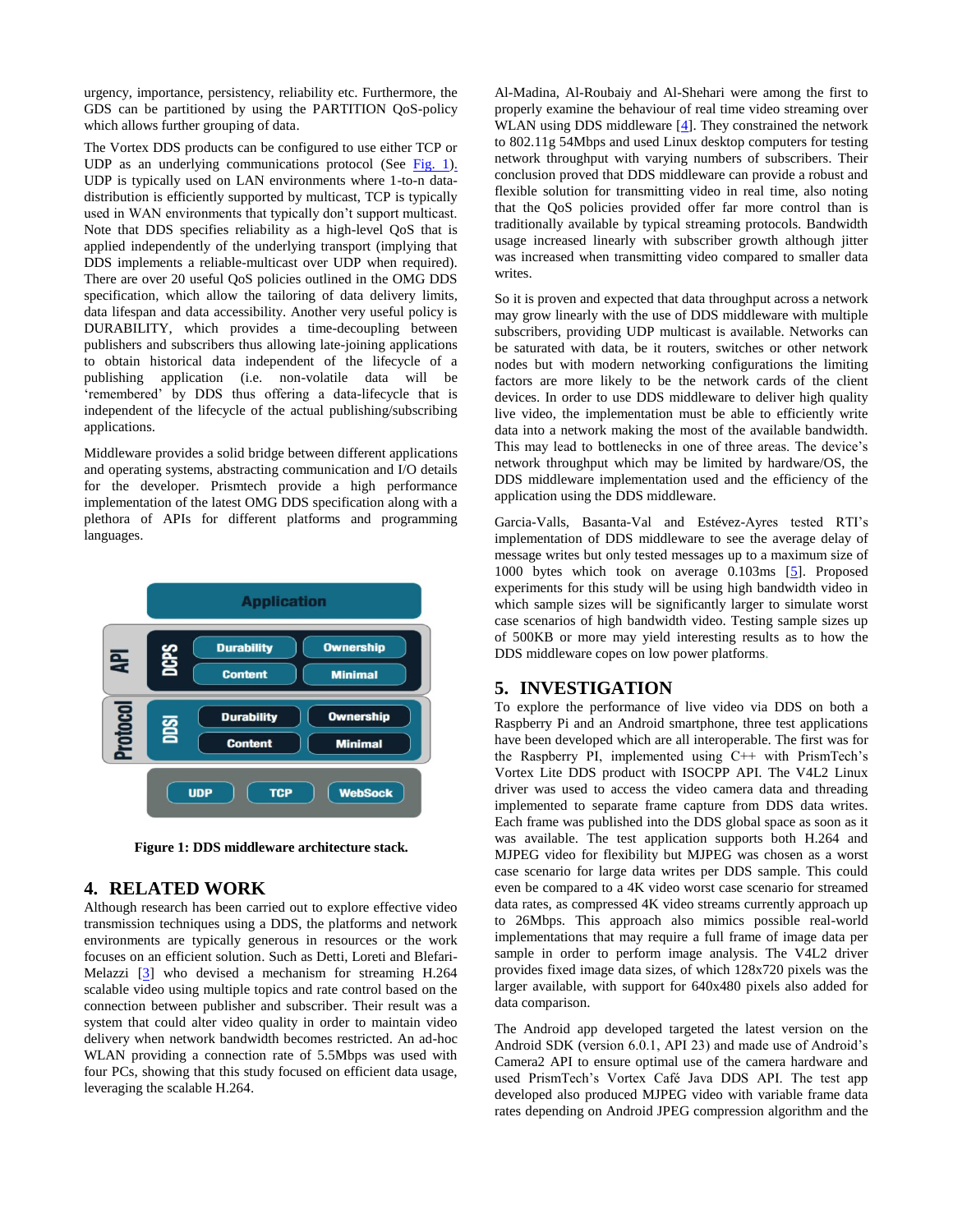urgency, importance, persistency, reliability etc. Furthermore, the GDS can be partitioned by using the PARTITION QoS-policy which allows further grouping of data.

The Vortex DDS products can be configured to use either TCP or UDP as an underlying communications protocol (See Fig. 1). UDP is typically used on LAN environments where 1-to-n datadistribution is efficiently supported by multicast, TCP is typically used in WAN environments that typically don't support multicast. Note that DDS specifies reliability as a high-level QoS that is applied independently of the underlying transport (implying that DDS implements a reliable-multicast over UDP when required). There are over 20 useful QoS policies outlined in the OMG DDS specification, which allow the tailoring of data delivery limits, data lifespan and data accessibility. Another very useful policy is DURABILITY, which provides a time-decoupling between publishers and subscribers thus allowing late-joining applications to obtain historical data independent of the lifecycle of a publishing application (i.e. non-volatile data will be 'remembered' by DDS thus offering a data-lifecycle that is independent of the lifecycle of the actual publishing/subscribing applications.

Middleware provides a solid bridge between different applications and operating systems, abstracting communication and I/O details for the developer. Prismtech provide a high performance implementation of the latest OMG DDS specification along with a plethora of APIs for different platforms and programming languages.



**Figure 1: DDS middleware architecture stack.**

# **4. RELATED WORK**

Although research has been carried out to explore effective video transmission techniques using a DDS, the platforms and network environments are typically generous in resources or the work focuses on an efficient solution. Such as Detti, Loreti and Blefari-Melazzi [3] who devised a mechanism for streaming H.264 scalable video using multiple topics and rate control based on the connection between publisher and subscriber. Their result was a system that could alter video quality in order to maintain video delivery when network bandwidth becomes restricted. An ad-hoc WLAN providing a connection rate of 5.5Mbps was used with four PCs, showing that this study focused on efficient data usage, leveraging the scalable H.264.

Al-Madina, Al-Roubaiy and Al-Shehari were among the first to properly examine the behaviour of real time video streaming over WLAN using DDS middleware  $[4]$ . They constrained the network to 802.11g 54Mbps and used Linux desktop computers for testing network throughput with varying numbers of subscribers. Their conclusion proved that DDS middleware can provide a robust and flexible solution for transmitting video in real time, also noting that the QoS policies provided offer far more control than is traditionally available by typical streaming protocols. Bandwidth usage increased linearly with subscriber growth although jitter was increased when transmitting video compared to smaller data writes.

So it is proven and expected that data throughput across a network may grow linearly with the use of DDS middleware with multiple subscribers, providing UDP multicast is available. Networks can be saturated with data, be it routers, switches or other network nodes but with modern networking configurations the limiting factors are more likely to be the network cards of the client devices. In order to use DDS middleware to deliver high quality live video, the implementation must be able to efficiently write data into a network making the most of the available bandwidth. This may lead to bottlenecks in one of three areas. The device's network throughput which may be limited by hardware/OS, the DDS middleware implementation used and the efficiency of the application using the DDS middleware.

Garcia-Valls, Basanta-Val and Estévez-Ayres tested RTI's implementation of DDS middleware to see the average delay of message writes but only tested messages up to a maximum size of 1000 bytes which took on average 0.103ms [5]. Proposed experiments for this study will be using high bandwidth video in which sample sizes will be significantly larger to simulate worst case scenarios of high bandwidth video. Testing sample sizes up of 500KB or more may yield interesting results as to how the DDS middleware copes on low power platforms.

## **5. INVESTIGATION**

To explore the performance of live video via DDS on both a Raspberry Pi and an Android smartphone, three test applications have been developed which are all interoperable. The first was for the Raspberry PI, implemented using  $C++$  with PrismTech's Vortex Lite DDS product with ISOCPP API. The V4L2 Linux driver was used to access the video camera data and threading implemented to separate frame capture from DDS data writes. Each frame was published into the DDS global space as soon as it was available. The test application supports both H.264 and MJPEG video for flexibility but MJPEG was chosen as a worst case scenario for large data writes per DDS sample. This could even be compared to a 4K video worst case scenario for streamed data rates, as compressed 4K video streams currently approach up to 26Mbps. This approach also mimics possible real-world implementations that may require a full frame of image data per sample in order to perform image analysis. The V4L2 driver provides fixed image data sizes, of which 128x720 pixels was the larger available, with support for 640x480 pixels also added for data comparison.

The Android app developed targeted the latest version on the Android SDK (version 6.0.1, API 23) and made use of Android's Camera2 API to ensure optimal use of the camera hardware and used PrismTech's Vortex Café Java DDS API. The test app developed also produced MJPEG video with variable frame data rates depending on Android JPEG compression algorithm and the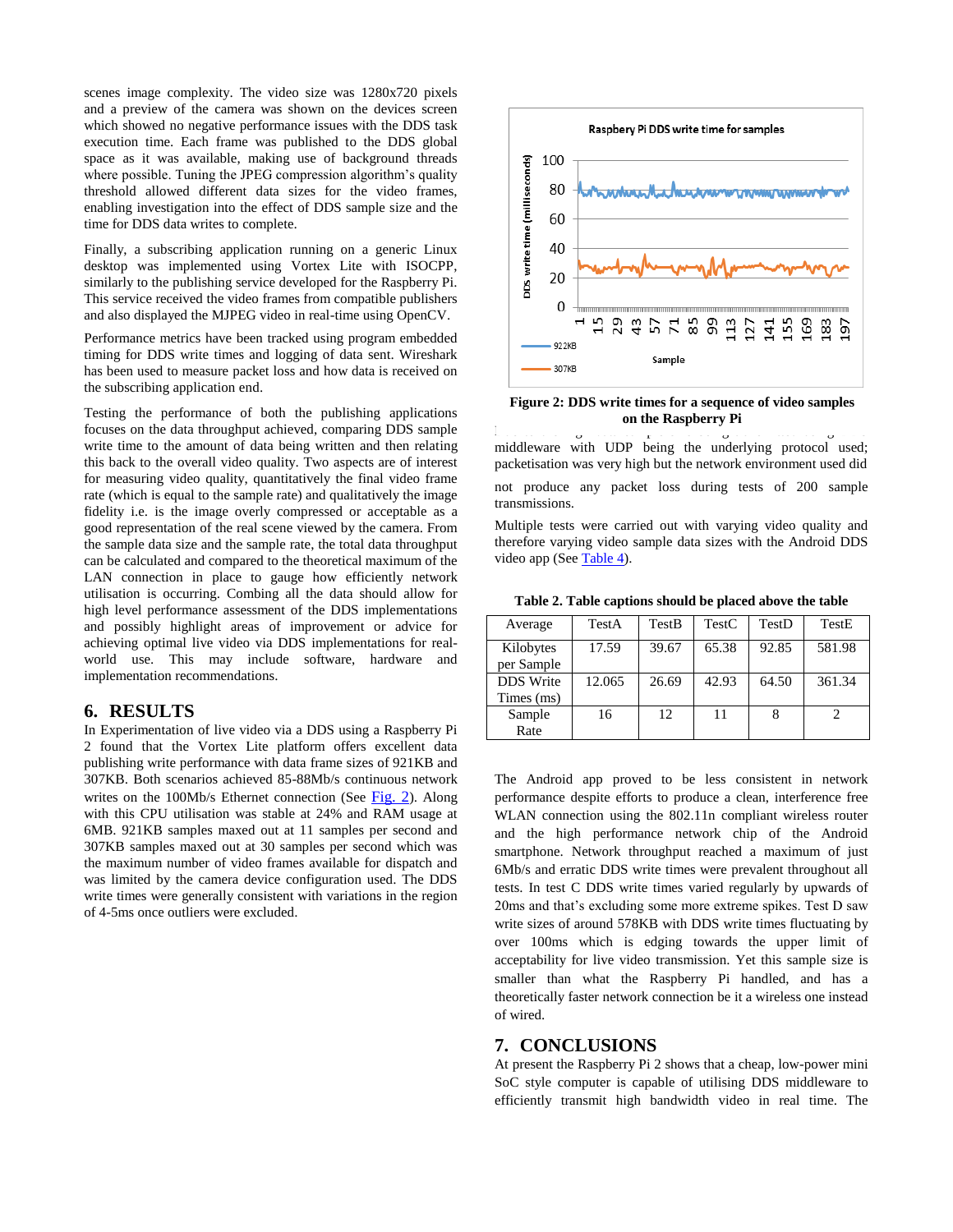scenes image complexity. The video size was 1280x720 pixels and a preview of the camera was shown on the devices screen which showed no negative performance issues with the DDS task execution time. Each frame was published to the DDS global space as it was available, making use of background threads where possible. Tuning the JPEG compression algorithm's quality threshold allowed different data sizes for the video frames, enabling investigation into the effect of DDS sample size and the time for DDS data writes to complete.

Finally, a subscribing application running on a generic Linux desktop was implemented using Vortex Lite with ISOCPP, similarly to the publishing service developed for the Raspberry Pi. This service received the video frames from compatible publishers and also displayed the MJPEG video in real-time using OpenCV.

Performance metrics have been tracked using program embedded timing for DDS write times and logging of data sent. Wireshark has been used to measure packet loss and how data is received on the subscribing application end.

Testing the performance of both the publishing applications focuses on the data throughput achieved, comparing DDS sample write time to the amount of data being written and then relating this back to the overall video quality. Two aspects are of interest for measuring video quality, quantitatively the final video frame rate (which is equal to the sample rate) and qualitatively the image fidelity i.e. is the image overly compressed or acceptable as a good representation of the real scene viewed by the camera. From the sample data size and the sample rate, the total data throughput can be calculated and compared to the theoretical maximum of the LAN connection in place to gauge how efficiently network utilisation is occurring. Combing all the data should allow for high level performance assessment of the DDS implementations and possibly highlight areas of improvement or advice for achieving optimal live video via DDS implementations for realworld use. This may include software, hardware and implementation recommendations.

#### **6. RESULTS**

In Experimentation of live video via a DDS using a Raspberry Pi 2 found that the Vortex Lite platform offers excellent data publishing write performance with data frame sizes of 921KB and 307KB. Both scenarios achieved 85-88Mb/s continuous network writes on the 100Mb/s Ethernet connection (See Fig. 2). Along with this CPU utilisation was stable at 24% and RAM usage at 6MB. 921KB samples maxed out at 11 samples per second and 307KB samples maxed out at 30 samples per second which was the maximum number of video frames available for dispatch and was limited by the camera device configuration used. The DDS write times were generally consistent with variations in the region of 4-5ms once outliers were excluded.



**Figure 2: DDS write times for a sequence of video samples on the Raspberry Pi**

Due to the high data sample size being transmitted using DDS middleware with UDP being the underlying protocol used; packetisation was very high but the network environment used did not produce any packet loss during tests of 200 sample transmissions.

Multiple tests were carried out with varying video quality and therefore varying video sample data sizes with the Android DDS video app (See Table 4).

**Table 2. Table captions should be placed above the table**

| Average          | TestA  | TestB | <b>TestC</b> | TestD | TestE  |
|------------------|--------|-------|--------------|-------|--------|
| Kilobytes        | 17.59  | 39.67 | 65.38        | 92.85 | 581.98 |
| per Sample       |        |       |              |       |        |
| <b>DDS</b> Write | 12.065 | 26.69 | 42.93        | 64.50 | 361.34 |
| Times (ms)       |        |       |              |       |        |
| Sample           | 16     | 12    | 11           | 8     | 2      |
| Rate             |        |       |              |       |        |

The Android app proved to be less consistent in network performance despite efforts to produce a clean, interference free WLAN connection using the 802.11n compliant wireless router and the high performance network chip of the Android smartphone. Network throughput reached a maximum of just 6Mb/s and erratic DDS write times were prevalent throughout all tests. In test C DDS write times varied regularly by upwards of 20ms and that's excluding some more extreme spikes. Test D saw write sizes of around 578KB with DDS write times fluctuating by over 100ms which is edging towards the upper limit of acceptability for live video transmission. Yet this sample size is smaller than what the Raspberry Pi handled, and has a theoretically faster network connection be it a wireless one instead of wired.

#### **7. CONCLUSIONS**

At present the Raspberry Pi 2 shows that a cheap, low-power mini SoC style computer is capable of utilising DDS middleware to efficiently transmit high bandwidth video in real time. The